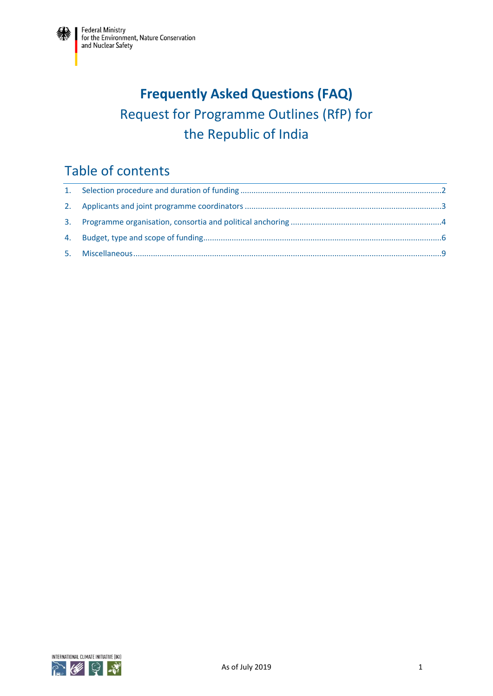# **Frequently Asked Questions (FAQ)** Request for Programme Outlines (RfP) for the Republic of India

# Table of contents

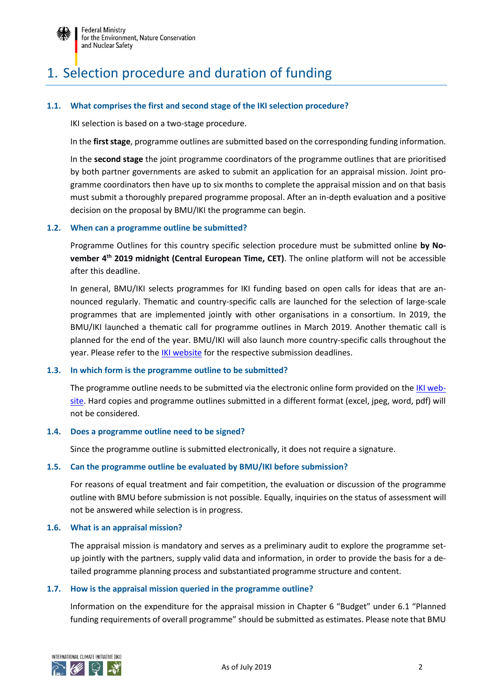

# <span id="page-1-0"></span>1. Selection procedure and duration of funding

#### **1.1. What comprises the first and second stage of the IKI selection procedure?**

IKI selection is based on a two-stage procedure.

In the **first stage**, programme outlines are submitted based on the corresponding funding information.

In the **second stage** the joint programme coordinators of the programme outlines that are prioritised by both partner governments are asked to submit an application for an appraisal mission. Joint programme coordinators then have up to six months to complete the appraisal mission and on that basis must submit a thoroughly prepared programme proposal. After an in-depth evaluation and a positive decision on the proposal by BMU/IKI the programme can begin.

#### **1.2. When can a programme outline be submitted?**

Programme Outlines for this country specific selection procedure must be submitted online **by November 4th 2019 midnight (Central European Time, CET)**. The online platform will not be accessible after this deadline.

In general, BMU/IKI selects programmes for IKI funding based on open calls for ideas that are announced regularly. Thematic and country-specific calls are launched for the selection of large-scale programmes that are implemented jointly with other organisations in a consortium. In 2019, the BMU/IKI launched a thematic call for programme outlines in March 2019. Another thematic call is planned for the end of the year. BMU/IKI will also launch more country-specific calls throughout the year. Please refer to the [IKI website](https://www.international-climate-initiative.com/en/project-funding/information-for-applicants/#c6404) for the respective submission deadlines.

#### **1.3. In which form is the programme outline to be submitted?**

The programme outline needs to be submitted via the electronic online form provided on th[e IKI web](https://www.international-climate-initiative.com/en/project-funding/information-for-applicants/#c6404)[site.](https://www.international-climate-initiative.com/en/project-funding/information-for-applicants/#c6404) Hard copies and programme outlines submitted in a different format (excel, jpeg, word, pdf) will not be considered.

#### **1.4. Does a programme outline need to be signed?**

Since the programme outline is submitted electronically, it does not require a signature.

#### **1.5. Can the programme outline be evaluated by BMU/IKI before submission?**

For reasons of equal treatment and fair competition, the evaluation or discussion of the programme outline with BMU before submission is not possible. Equally, inquiries on the status of assessment will not be answered while selection is in progress.

#### **1.6. What is an appraisal mission?**

The appraisal mission is mandatory and serves as a preliminary audit to explore the programme setup jointly with the partners, supply valid data and information, in order to provide the basis for a detailed programme planning process and substantiated programme structure and content.

#### **1.7. How is the appraisal mission queried in the programme outline?**

Information on the expenditure for the appraisal mission in Chapter 6 "Budget" under 6.1 "Planned funding requirements of overall programme" should be submitted as estimates. Please note that BMU

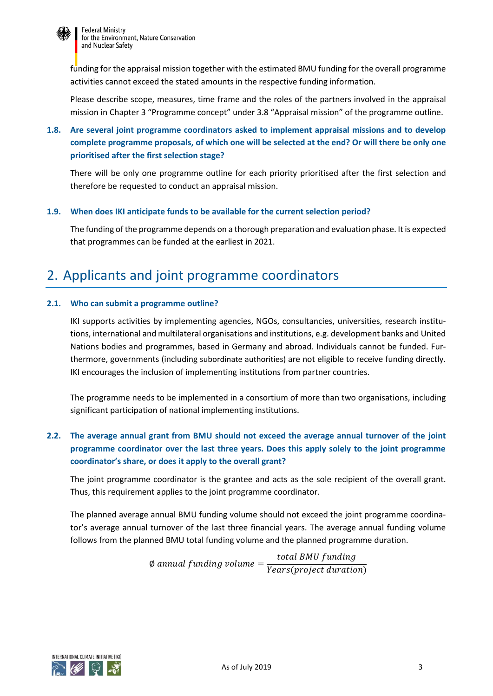

funding for the appraisal mission together with the estimated BMU funding for the overall programme activities cannot exceed the stated amounts in the respective funding information.

Please describe scope, measures, time frame and the roles of the partners involved in the appraisal mission in Chapter 3 "Programme concept" under 3.8 "Appraisal mission" of the programme outline.

## **1.8. Are several joint programme coordinators asked to implement appraisal missions and to develop complete programme proposals, of which one will be selected at the end? Or will there be only one prioritised after the first selection stage?**

There will be only one programme outline for each priority prioritised after the first selection and therefore be requested to conduct an appraisal mission.

#### **1.9. When does IKI anticipate funds to be available for the current selection period?**

The funding of the programme depends on a thorough preparation and evaluation phase. It is expected that programmes can be funded at the earliest in 2021.

## <span id="page-2-0"></span>2. Applicants and joint programme coordinators

#### **2.1. Who can submit a programme outline?**

IKI supports activities by implementing agencies, NGOs, consultancies, universities, research institutions, international and multilateral organisations and institutions, e.g. development banks and United Nations bodies and programmes, based in Germany and abroad. Individuals cannot be funded. Furthermore, governments (including subordinate authorities) are not eligible to receive funding directly. IKI encourages the inclusion of implementing institutions from partner countries.

The programme needs to be implemented in a consortium of more than two organisations, including significant participation of national implementing institutions.

## **2.2. The average annual grant from BMU should not exceed the average annual turnover of the joint programme coordinator over the last three years. Does this apply solely to the joint programme coordinator's share, or does it apply to the overall grant?**

The joint programme coordinator is the grantee and acts as the sole recipient of the overall grant. Thus, this requirement applies to the joint programme coordinator.

The planned average annual BMU funding volume should not exceed the joint programme coordinator's average annual turnover of the last three financial years. The average annual funding volume follows from the planned BMU total funding volume and the planned programme duration.

> $\emptyset$  annual funding volume  $=$ total BMU funding Years(project duration)

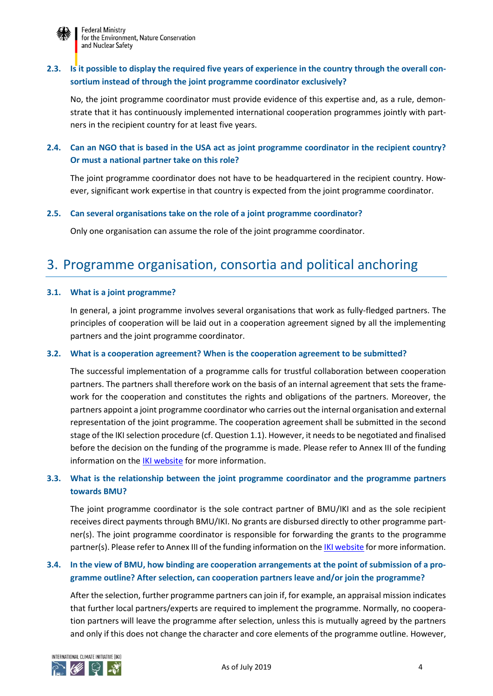

## **2.3. Is it possible to display the required five years of experience in the country through the overall consortium instead of through the joint programme coordinator exclusively?**

No, the joint programme coordinator must provide evidence of this expertise and, as a rule, demonstrate that it has continuously implemented international cooperation programmes jointly with partners in the recipient country for at least five years.

## **2.4. Can an NGO that is based in the USA act as joint programme coordinator in the recipient country? Or must a national partner take on this role?**

The joint programme coordinator does not have to be headquartered in the recipient country. However, significant work expertise in that country is expected from the joint programme coordinator.

#### **2.5. Can several organisations take on the role of a joint programme coordinator?**

Only one organisation can assume the role of the joint programme coordinator.

## <span id="page-3-0"></span>3. Programme organisation, consortia and political anchoring

#### **3.1. What is a joint programme?**

In general, a joint programme involves several organisations that work as fully-fledged partners. The principles of cooperation will be laid out in a cooperation agreement signed by all the implementing partners and the joint programme coordinator.

#### **3.2. What is a cooperation agreement? When is the cooperation agreement to be submitted?**

The successful implementation of a programme calls for trustful collaboration between cooperation partners. The partners shall therefore work on the basis of an internal agreement that sets the framework for the cooperation and constitutes the rights and obligations of the partners. Moreover, the partners appoint a joint programme coordinator who carries out the internal organisation and external representation of the joint programme. The cooperation agreement shall be submitted in the second stage of the IKI selection procedure (cf. Question 1.1). However, it needs to be negotiated and finalised before the decision on the funding of the programme is made. Please refer to Annex III of the funding information on the [IKI website](https://www.international-climate-initiative.com/en/project-funding/information-for-applicants/#c6404) for more information.

## **3.3. What is the relationship between the joint programme coordinator and the programme partners towards BMU?**

The joint programme coordinator is the sole contract partner of BMU/IKI and as the sole recipient receives direct payments through BMU/IKI. No grants are disbursed directly to other programme partner(s). The joint programme coordinator is responsible for forwarding the grants to the programme partner(s). Please refer to Annex III of the funding information on th[e IKI website](https://www.international-climate-initiative.com/en/project-funding/information-for-applicants/#c6404) for more information.

## **3.4. In the view of BMU, how binding are cooperation arrangements at the point of submission of a programme outline? After selection, can cooperation partners leave and/or join the programme?**

After the selection, further programme partners can join if, for example, an appraisal mission indicates that further local partners/experts are required to implement the programme. Normally, no cooperation partners will leave the programme after selection, unless this is mutually agreed by the partners and only if this does not change the character and core elements of the programme outline. However,

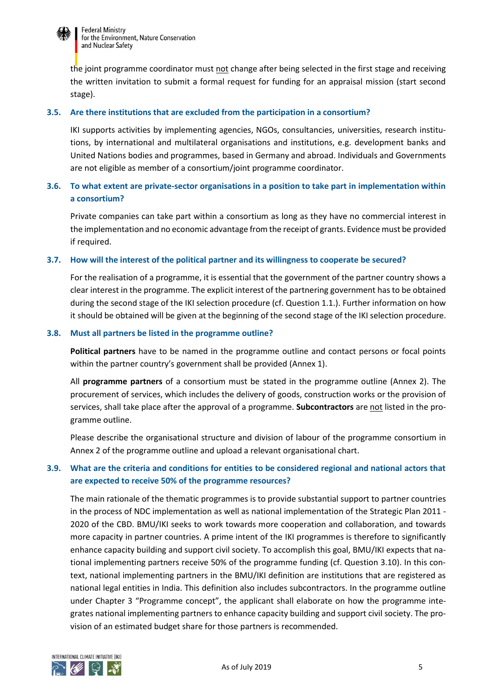

the joint programme coordinator must not change after being selected in the first stage and receiving the written invitation to submit a formal request for funding for an appraisal mission (start second stage).

#### **3.5. Are there institutions that are excluded from the participation in a consortium?**

IKI supports activities by implementing agencies, NGOs, consultancies, universities, research institutions, by international and multilateral organisations and institutions, e.g. development banks and United Nations bodies and programmes, based in Germany and abroad. Individuals and Governments are not eligible as member of a consortium/joint programme coordinator.

## **3.6. To what extent are private-sector organisations in a position to take part in implementation within a consortium?**

Private companies can take part within a consortium as long as they have no commercial interest in the implementation and no economic advantage from the receipt of grants. Evidence must be provided if required.

#### **3.7. How will the interest of the political partner and its willingness to cooperate be secured?**

For the realisation of a programme, it is essential that the government of the partner country shows a clear interest in the programme. The explicit interest of the partnering government has to be obtained during the second stage of the IKI selection procedure (cf. Question 1.1.). Further information on how it should be obtained will be given at the beginning of the second stage of the IKI selection procedure.

#### **3.8. Must all partners be listed in the programme outline?**

**Political partners** have to be named in the programme outline and contact persons or focal points within the partner country's government shall be provided (Annex 1).

All **programme partners** of a consortium must be stated in the programme outline (Annex 2). The procurement of services, which includes the delivery of goods, construction works or the provision of services, shall take place after the approval of a programme. **Subcontractors** are not listed in the programme outline.

Please describe the organisational structure and division of labour of the programme consortium in Annex 2 of the programme outline and upload a relevant organisational chart.

## **3.9. What are the criteria and conditions for entities to be considered regional and national actors that are expected to receive 50% of the programme resources?**

The main rationale of the thematic programmes is to provide substantial support to partner countries in the process of NDC implementation as well as national implementation of the Strategic Plan 2011 - 2020 of the CBD. BMU/IKI seeks to work towards more cooperation and collaboration, and towards more capacity in partner countries. A prime intent of the IKI programmes is therefore to significantly enhance capacity building and support civil society. To accomplish this goal, BMU/IKI expects that national implementing partners receive 50% of the programme funding (cf. Question 3.10). In this context, national implementing partners in the BMU/IKI definition are institutions that are registered as national legal entities in India. This definition also includes subcontractors. In the programme outline under Chapter 3 "Programme concept", the applicant shall elaborate on how the programme integrates national implementing partners to enhance capacity building and support civil society. The provision of an estimated budget share for those partners is recommended.

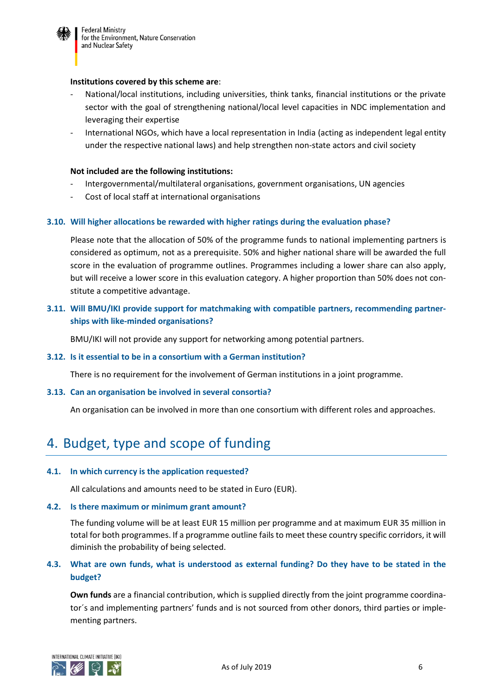

#### **Institutions covered by this scheme are**:

- National/local institutions, including universities, think tanks, financial institutions or the private sector with the goal of strengthening national/local level capacities in NDC implementation and leveraging their expertise
- International NGOs, which have a local representation in India (acting as independent legal entity under the respective national laws) and help strengthen non-state actors and civil society

#### **Not included are the following institutions:**

- Intergovernmental/multilateral organisations, government organisations, UN agencies
- Cost of local staff at international organisations

#### **3.10. Will higher allocations be rewarded with higher ratings during the evaluation phase?**

Please note that the allocation of 50% of the programme funds to national implementing partners is considered as optimum, not as a prerequisite. 50% and higher national share will be awarded the full score in the evaluation of programme outlines. Programmes including a lower share can also apply, but will receive a lower score in this evaluation category. A higher proportion than 50% does not constitute a competitive advantage.

### **3.11. Will BMU/IKI provide support for matchmaking with compatible partners, recommending partnerships with like-minded organisations?**

BMU/IKI will not provide any support for networking among potential partners.

#### **3.12. Is it essential to be in a consortium with a German institution?**

There is no requirement for the involvement of German institutions in a joint programme.

#### **3.13. Can an organisation be involved in several consortia?**

An organisation can be involved in more than one consortium with different roles and approaches.

## <span id="page-5-0"></span>4. Budget, type and scope of funding

#### **4.1. In which currency is the application requested?**

All calculations and amounts need to be stated in Euro (EUR).

#### **4.2. Is there maximum or minimum grant amount?**

The funding volume will be at least EUR 15 million per programme and at maximum EUR 35 million in total for both programmes. If a programme outline fails to meet these country specific corridors, it will diminish the probability of being selected.

## **4.3. What are own funds, what is understood as external funding? Do they have to be stated in the budget?**

**Own funds** are a financial contribution, which is supplied directly from the joint programme coordinator´s and implementing partners' funds and is not sourced from other donors, third parties or implementing partners.

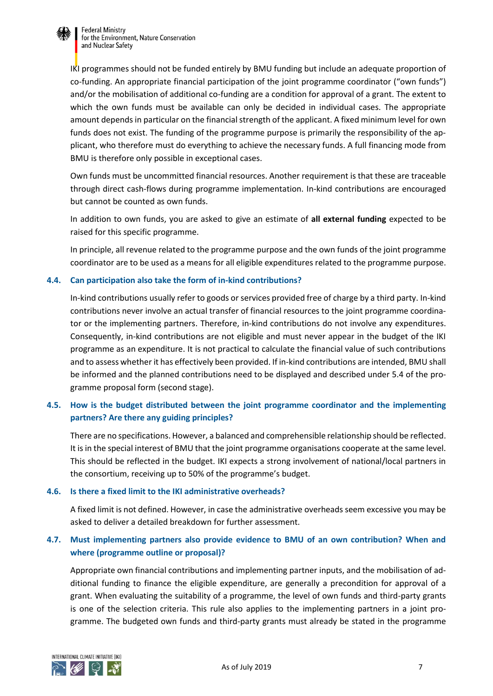

**Federal Ministry** for the Environment, Nature Conservation and Nuclear Safety

IKI programmes should not be funded entirely by BMU funding but include an adequate proportion of co-funding. An appropriate financial participation of the joint programme coordinator ("own funds") and/or the mobilisation of additional co-funding are a condition for approval of a grant. The extent to which the own funds must be available can only be decided in individual cases. The appropriate amount depends in particular on the financial strength of the applicant. A fixed minimum level for own funds does not exist. The funding of the programme purpose is primarily the responsibility of the applicant, who therefore must do everything to achieve the necessary funds. A full financing mode from BMU is therefore only possible in exceptional cases.

Own funds must be uncommitted financial resources. Another requirement is that these are traceable through direct cash-flows during programme implementation. In-kind contributions are encouraged but cannot be counted as own funds.

In addition to own funds, you are asked to give an estimate of **all external funding** expected to be raised for this specific programme.

In principle, all revenue related to the programme purpose and the own funds of the joint programme coordinator are to be used as a means for all eligible expenditures related to the programme purpose.

#### **4.4. Can participation also take the form of in-kind contributions?**

In-kind contributions usually refer to goods or services provided free of charge by a third party. In-kind contributions never involve an actual transfer of financial resources to the joint programme coordinator or the implementing partners. Therefore, in-kind contributions do not involve any expenditures. Consequently, in-kind contributions are not eligible and must never appear in the budget of the IKI programme as an expenditure. It is not practical to calculate the financial value of such contributions and to assess whether it has effectively been provided. If in-kind contributions are intended, BMU shall be informed and the planned contributions need to be displayed and described under 5.4 of the programme proposal form (second stage).

## **4.5. How is the budget distributed between the joint programme coordinator and the implementing partners? Are there any guiding principles?**

There are no specifications. However, a balanced and comprehensible relationship should be reflected. It is in the special interest of BMU that the joint programme organisations cooperate at the same level. This should be reflected in the budget. IKI expects a strong involvement of national/local partners in the consortium, receiving up to 50% of the programme's budget.

#### **4.6. Is there a fixed limit to the IKI administrative overheads?**

A fixed limit is not defined. However, in case the administrative overheads seem excessive you may be asked to deliver a detailed breakdown for further assessment.

## **4.7. Must implementing partners also provide evidence to BMU of an own contribution? When and where (programme outline or proposal)?**

Appropriate own financial contributions and implementing partner inputs, and the mobilisation of additional funding to finance the eligible expenditure, are generally a precondition for approval of a grant. When evaluating the suitability of a programme, the level of own funds and third-party grants is one of the selection criteria. This rule also applies to the implementing partners in a joint programme. The budgeted own funds and third-party grants must already be stated in the programme

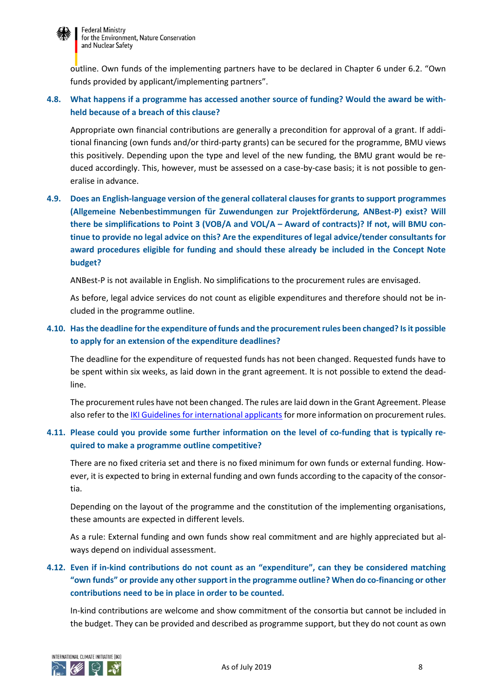

outline. Own funds of the implementing partners have to be declared in Chapter 6 under 6.2. "Own funds provided by applicant/implementing partners".

## **4.8. What happens if a programme has accessed another source of funding? Would the award be withheld because of a breach of this clause?**

Appropriate own financial contributions are generally a precondition for approval of a grant. If additional financing (own funds and/or third-party grants) can be secured for the programme, BMU views this positively. Depending upon the type and level of the new funding, the BMU grant would be reduced accordingly. This, however, must be assessed on a case-by-case basis; it is not possible to generalise in advance.

## **4.9. Does an English-language version of the general collateral clauses for grants to support programmes (Allgemeine Nebenbestimmungen für Zuwendungen zur Projektförderung, ANBest-P) exist? Will there be simplifications to Point 3 (VOB/A and VOL/A – Award of contracts)? If not, will BMU continue to provide no legal advice on this? Are the expenditures of legal advice/tender consultants for award procedures eligible for funding and should these already be included in the Concept Note budget?**

ANBest-P is not available in English. No simplifications to the procurement rules are envisaged.

As before, legal advice services do not count as eligible expenditures and therefore should not be included in the programme outline.

## **4.10. Has the deadline for the expenditure of funds and the procurement rules been changed? Is it possible to apply for an extension of the expenditure deadlines?**

The deadline for the expenditure of requested funds has not been changed. Requested funds have to be spent within six weeks, as laid down in the grant agreement. It is not possible to extend the deadline.

The procurement rules have not been changed. The rules are laid down in the Grant Agreement. Please also refer to th[e IKI Guidelines for international applicants](https://www.international-climate-initiative.com/fileadmin/Dokumente/2017/170614_Guidelines_for_international_applicants.PDF) for more information on procurement rules.

## **4.11. Please could you provide some further information on the level of co-funding that is typically required to make a programme outline competitive?**

There are no fixed criteria set and there is no fixed minimum for own funds or external funding. However, it is expected to bring in external funding and own funds according to the capacity of the consortia.

Depending on the layout of the programme and the constitution of the implementing organisations, these amounts are expected in different levels.

As a rule: External funding and own funds show real commitment and are highly appreciated but always depend on individual assessment.

## **4.12. Even if in-kind contributions do not count as an "expenditure", can they be considered matching "own funds" or provide any other support in the programme outline? When do co-financing or other contributions need to be in place in order to be counted.**

In-kind contributions are welcome and show commitment of the consortia but cannot be included in the budget. They can be provided and described as programme support, but they do not count as own